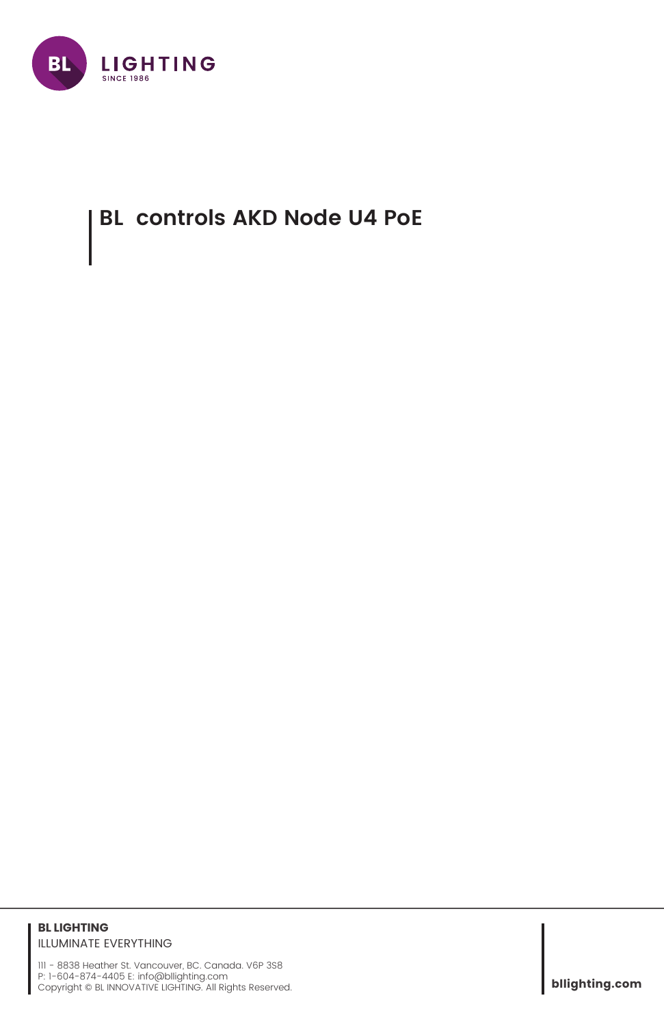

## **BL controls AKD Node U4 PoE**

## **BL LIGHTING** ILLUMINATE EVERYTHING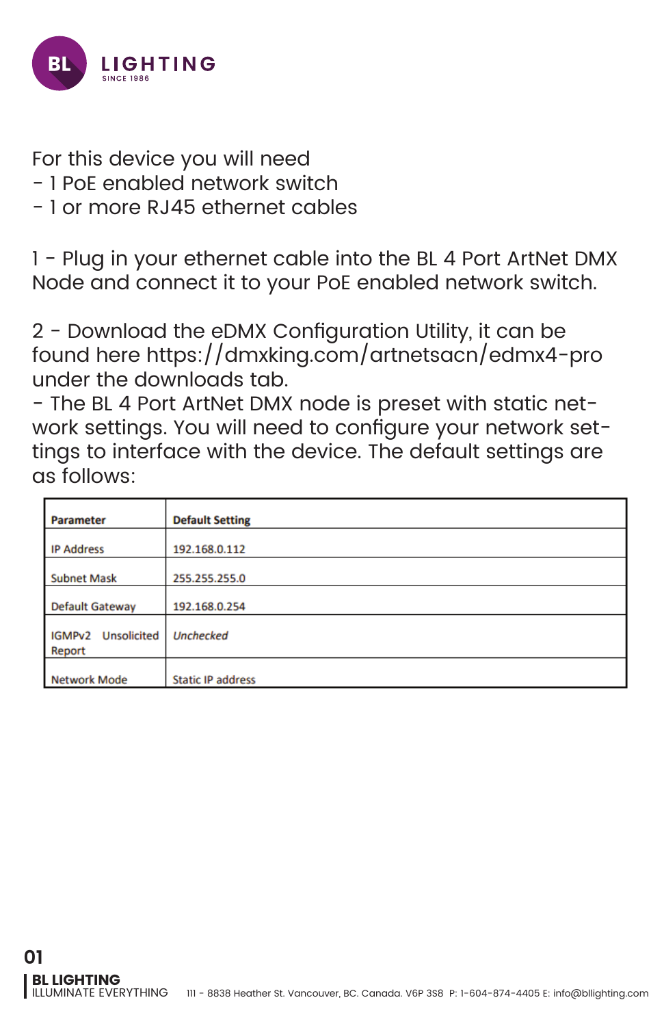

For this device you will need

- 1 PoE enabled network switch
- 1 or more RJ45 ethernet cables

1 - Plug in your ethernet cable into the BL 4 Port ArtNet DMX Node and connect it to your PoE enabled network switch.

2 - Download the eDMX Configuration Utility, it can be found here https://dmxking.com/artnetsacn/edmx4-pro under the downloads tab.

- The BL 4 Port ArtNet DMX node is preset with static network settings. You will need to configure your network settings to interface with the device. The default settings are as follows:

| <b>Parameter</b>                       | <b>Default Setting</b>   |
|----------------------------------------|--------------------------|
| <b>IP Address</b>                      | 192.168.0.112            |
| <b>Subnet Mask</b>                     | 255.255.255.0            |
| <b>Default Gateway</b>                 | 192.168.0.254            |
| <b>Unsolicited</b><br>IGMPv2<br>Report | <b>Unchecked</b>         |
| <b>Network Mode</b>                    | <b>Static IP address</b> |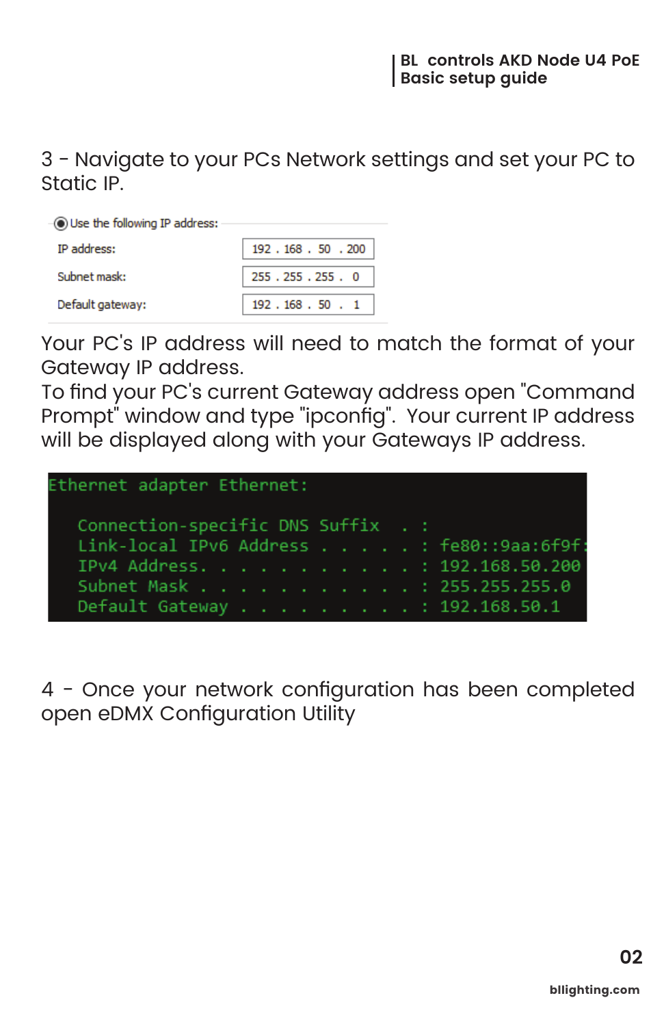3 - Navigate to your PCs Network settings and set your PC to Static IP.

| $\lnot$ Use the following IP address: |                |  |  |  |
|---------------------------------------|----------------|--|--|--|
| <b>IP</b> address:                    | 192.168.50.200 |  |  |  |
| Subnet mask:                          | 255.255.255.0  |  |  |  |
| Default gateway:                      | 192.168.50.1   |  |  |  |

Your PC's IP address will need to match the format of your Gateway IP address.

To find your PC's current Gateway address open "Command Prompt<sup>"</sup> window and type "ipconfig". Your current IP address will be displayed along with your Gateways IP address.

| Ethernet adapter Ethernet:                |  |  |
|-------------------------------------------|--|--|
| Connection-specific DNS Suffix . :        |  |  |
| Link-local IPv6 Address : fe80::9aa:6f9f: |  |  |
| IPv4 Address. 192.168.50.200              |  |  |
| Subnet Mask : 255.255.255.0               |  |  |
| Default Gateway : 192.168.50.1            |  |  |
|                                           |  |  |

4 - Once your network configuration has been completed open eDMX Configuration Utility